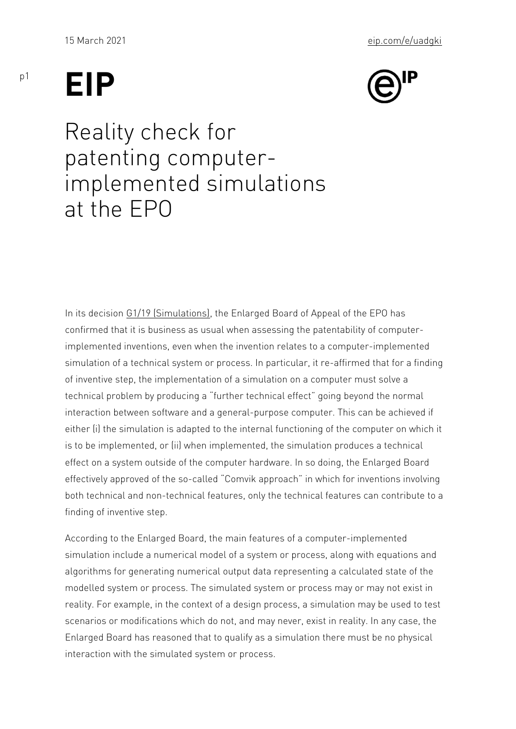## EIP

## Reality check for patenting computer implemented simulations at the EPO

In its de **G3 1/d B** (Simulatthen Esplarged Board of Appeal of the EPO has confirmed that it is business as usual when assessing the patentab impleme[nted inventio](https://documents.epo.org/projects/babylon/eponet.nsf/0/99f4b971c9e3eb2fc125869400340179/$FILE/G_1_19_decision_of_the_Enlarged_Board_of_Appeal_of_10_March_2021_en.pdf)ns, even when the invention relates to a comp simulation of a technical system or process. In particular, it re-aff of inventive step, the implementation of a simulation on a compute technical problem by producing a further technical effect going be interaction between software and a general-purpose computer. This either (i) the simulation is adapted to the internal functioning of the is to be implemented, or (ii) when implemented, the simulation produces  $\mathbf{r}$ effect on a system outside of the computer hardware. In so doing, effectively approved of the so-called Comvik approach in which for both technical and non-technical features, only the technical featu finding of inventive step.

According to the Enlarged Board, the main features of a computer-i simulation include a numerical model of a system or process, along algorithms for generating numerical output data representing a cald modelled system or process. The simulated system or process may reality. For example, in the context of a design process, a simulati scenarios or modifications which do not, and may never, exist in re Enlarged Board has reasoned that to qualify as a simulation there interaction with the simulated system or process.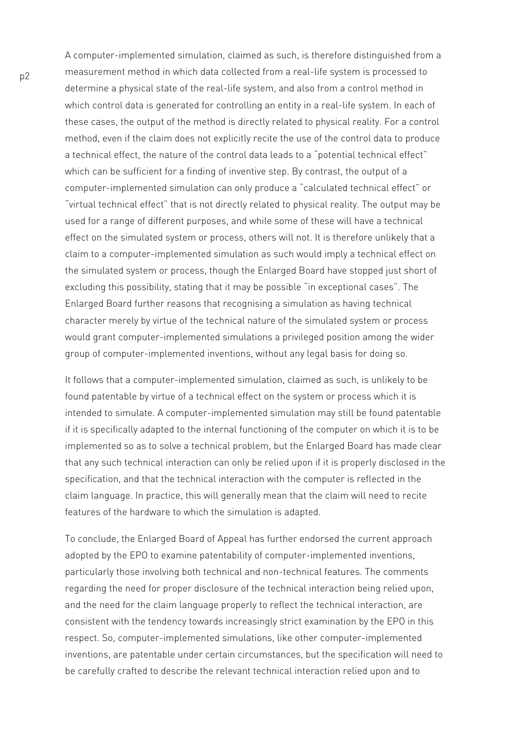A computer-implemented simulation, claimed as such, is therefore distinguished from a measurement method in which data collected from a real-life system is processed to determine a physical state of the real-life system, and also from a control method in which control data is generated for controlling an entity in a real-life system. In each of these cases, the output of the method is directly related to physical reality. For a control method, even if the claim does not explicitly recite the use of the control data to produce a technical effect, the nature of the control data leads to a "potential technical effect" which can be sufficient for a finding of inventive step. By contrast, the output of a computer-implemented simulation can only produce a "calculated technical effect" or "virtual technical effect" that is not directly related to physical reality. The output may be used for a range of different purposes, and while some of these will have a technical effect on the simulated system or process, others will not. It is therefore unlikely that a claim to a computer-implemented simulation as such would imply a technical effect on the simulated system or process, though the Enlarged Board have stopped just short of excluding this possibility, stating that it may be possible "in exceptional cases". The Enlarged Board further reasons that recognising a simulation as having technical character merely by virtue of the technical nature of the simulated system or process would grant computer-implemented simulations a privileged position among the wider group of computer-implemented inventions, without any legal basis for doing so.

It follows that a computer-implemented simulation, claimed as such, is unlikely to be found patentable by virtue of a technical effect on the system or process which it is intended to simulate. A computer-implemented simulation may still be found patentable if it is specifically adapted to the internal functioning of the computer on which it is to be implemented so as to solve a technical problem, but the Enlarged Board has made clear that any such technical interaction can only be relied upon if it is properly disclosed in the specification, and that the technical interaction with the computer is reflected in the claim language. In practice, this will generally mean that the claim will need to recite features of the hardware to which the simulation is adapted.

To conclude, the Enlarged Board of Appeal has further endorsed the current approach adopted by the EPO to examine patentability of computer-implemented inventions, particularly those involving both technical and non-technical features. The comments regarding the need for proper disclosure of the technical interaction being relied upon, and the need for the claim language properly to reflect the technical interaction, are consistent with the tendency towards increasingly strict examination by the EPO in this respect. So, computer-implemented simulations, like other computer-implemented inventions, are patentable under certain circumstances, but the specification will need to be carefully crafted to describe the relevant technical interaction relied upon and to